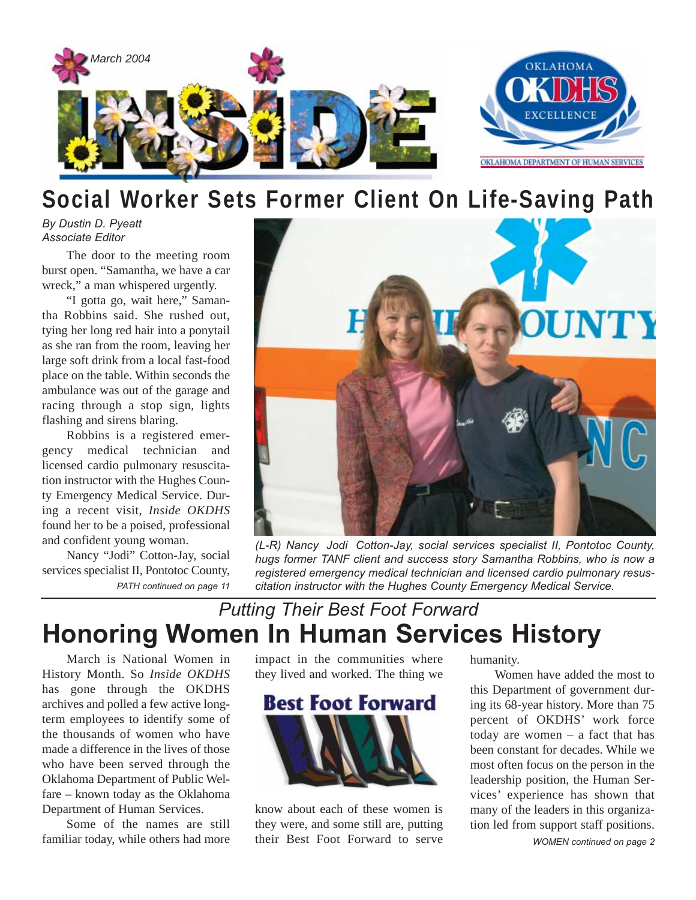

## **Social Worker Sets Former Client On Life-Saving Path**

#### *By Dustin D. Pyeatt Associate Editor*

The door to the meeting room burst open. "Samantha, we have a car wreck," a man whispered urgently.

"I gotta go, wait here," Samantha Robbins said. She rushed out, tying her long red hair into a ponytail as she ran from the room, leaving her large soft drink from a local fast-food place on the table. Within seconds the ambulance was out of the garage and racing through a stop sign, lights flashing and sirens blaring.

Robbins is a registered emergency medical technician and licensed cardio pulmonary resuscitation instructor with the Hughes County Emergency Medical Service. During a recent visit, *Inside OKDHS* found her to be a poised, professional and confident young woman.

*PATH continued on page 11* Nancy "Jodi" Cotton-Jay, social services specialist II, Pontotoc County,



*(L-R) Nancy Jodi Cotton-Jay, social services specialist II, Pontotoc County, hugs former TANF client and success story Samantha Robbins, who is now a registered emergency medical technician and licensed cardio pulmonary resuscitation instructor with the Hughes County Emergency Medical Service.*

## **Honoring Women In Human Services History** *Putting Their Best Foot Forward*

March is National Women in History Month. So *Inside OKDHS* has gone through the OKDHS archives and polled a few active longterm employees to identify some of the thousands of women who have made a difference in the lives of those who have been served through the Oklahoma Department of Public Welfare – known today as the Oklahoma Department of Human Services.

Some of the names are still familiar today, while others had more impact in the communities where they lived and worked. The thing we



know about each of these women is they were, and some still are, putting their Best Foot Forward to serve humanity.

Women have added the most to this Department of government during its 68-year history. More than 75 percent of OKDHS' work force today are women – a fact that has been constant for decades. While we most often focus on the person in the leadership position, the Human Services' experience has shown that many of the leaders in this organization led from support staff positions.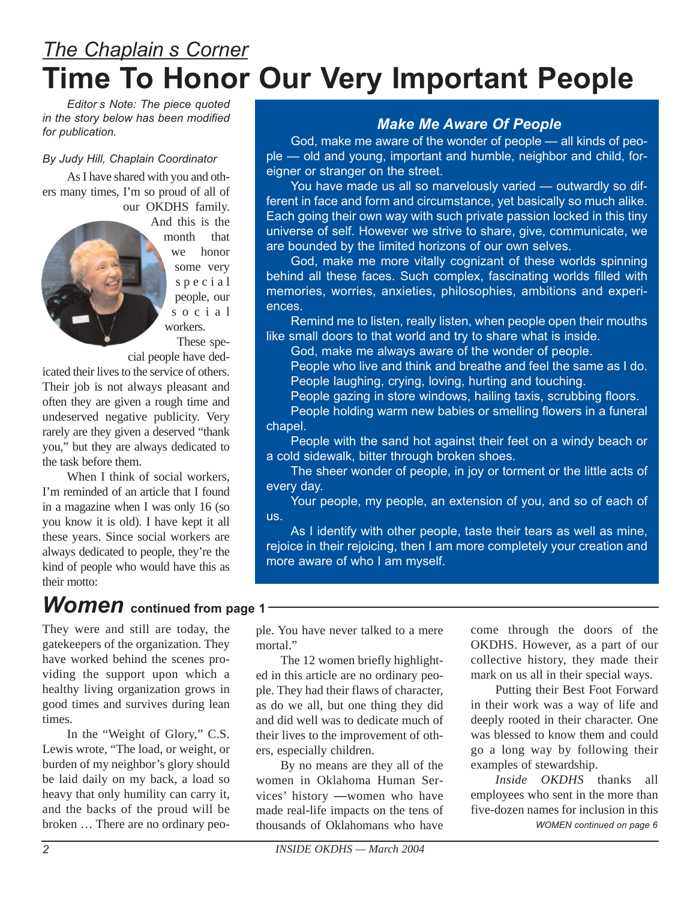## **Time To Honor Our Very Important People** *The Chaplain s Corner*

*Editor s Note: The piece quoted in the story below has been modified for publication.*

#### *By Judy Hill, Chaplain Coordinator*

As I have shared with you and others many times, I'm so proud of all of our OKDHS family.

And this is the month that we honor some very special people, our social workers.

These special people have ded-

icated their lives to the service of others. Their job is not always pleasant and often they are given a rough time and undeserved negative publicity. Very rarely are they given a deserved "thank you," but they are always dedicated to the task before them.

When I think of social workers. I'm reminded of an article that I found in a magazine when I was only 16 (so you know it is old). I have kept it all these years. Since social workers are always dedicated to people, they're the kind of people who would have this as their motto:

### *Women* **continued from page 1**

They were and still are today, the gatekeepers of the organization. They have worked behind the scenes providing the support upon which a healthy living organization grows in good times and survives during lean times.

In the "Weight of Glory," C.S. Lewis wrote, "The load, or weight, or burden of my neighbor's glory should be laid daily on my back, a load so heavy that only humility can carry it, and the backs of the proud will be broken … There are no ordinary peo-

### *Make Me Aware Of People*

God, make me aware of the wonder of people — all kinds of people — old and young, important and humble, neighbor and child, foreigner or stranger on the street.

You have made us all so marvelously varied — outwardly so different in face and form and circumstance, yet basically so much alike. Each going their own way with such private passion locked in this tiny universe of self. However we strive to share, give, communicate, we are bounded by the limited horizons of our own selves.

God, make me more vitally cognizant of these worlds spinning behind all these faces. Such complex, fascinating worlds filled with memories, worries, anxieties, philosophies, ambitions and experiences.

Remind me to listen, really listen, when people open their mouths like small doors to that world and try to share what is inside.

God, make me always aware of the wonder of people.

People who live and think and breathe and feel the same as I do. People laughing, crying, loving, hurting and touching.

People gazing in store windows, hailing taxis, scrubbing floors. People holding warm new babies or smelling flowers in a funeral chapel.

People with the sand hot against their feet on a windy beach or a cold sidewalk, bitter through broken shoes.

The sheer wonder of people, in joy or torment or the little acts of every day.

Your people, my people, an extension of you, and so of each of us.

As I identify with other people, taste their tears as well as mine, rejoice in their rejoicing, then I am more completely your creation and more aware of who I am myself.

ple. You have never talked to a mere mortal."

The 12 women briefly highlighted in this article are no ordinary people. They had their flaws of character, as do we all, but one thing they did and did well was to dedicate much of their lives to the improvement of others, especially children.

By no means are they all of the women in Oklahoma Human Services' history —women who have made real-life impacts on the tens of thousands of Oklahomans who have come through the doors of the OKDHS. However, as a part of our collective history, they made their mark on us all in their special ways.

Putting their Best Foot Forward in their work was a way of life and deeply rooted in their character. One was blessed to know them and could go a long way by following their examples of stewardship.

*Inside OKDHS* thanks all employees who sent in the more than five-dozen names for inclusion in this *WOMEN continued on page 6*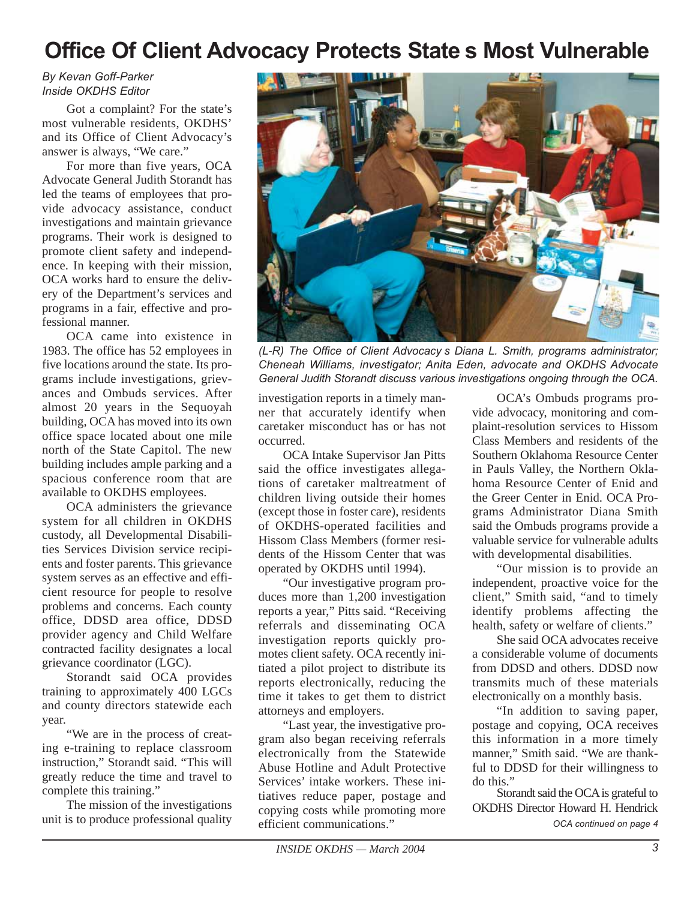## **Office Of Client Advocacy Protects State s Most Vulnerable**

#### *By Kevan Goff-Parker Inside OKDHS Editor*

Got a complaint? For the state's most vulnerable residents, OKDHS' and its Office of Client Advocacy's answer is always, "We care."

For more than five years, OCA Advocate General Judith Storandt has led the teams of employees that provide advocacy assistance, conduct investigations and maintain grievance programs. Their work is designed to promote client safety and independence. In keeping with their mission, OCA works hard to ensure the delivery of the Department's services and programs in a fair, effective and professional manner.

OCA came into existence in 1983. The office has 52 employees in five locations around the state. Its programs include investigations, grievances and Ombuds services. After almost 20 years in the Sequoyah building, OCA has moved into its own office space located about one mile north of the State Capitol. The new building includes ample parking and a spacious conference room that are available to OKDHS employees.

OCA administers the grievance system for all children in OKDHS custody, all Developmental Disabilities Services Division service recipients and foster parents. This grievance system serves as an effective and efficient resource for people to resolve problems and concerns. Each county office, DDSD area office, DDSD provider agency and Child Welfare contracted facility designates a local grievance coordinator (LGC).

Storandt said OCA provides training to approximately 400 LGCs and county directors statewide each year.

"We are in the process of creating e-training to replace classroom instruction," Storandt said. "This will greatly reduce the time and travel to complete this training."

The mission of the investigations unit is to produce professional quality



*(L-R) The Office of Client Advocacy s Diana L. Smith, programs administrator; Cheneah Williams, investigator; Anita Eden, advocate and OKDHS Advocate General Judith Storandt discuss various investigations ongoing through the OCA.*

investigation reports in a timely manner that accurately identify when caretaker misconduct has or has not occurred.

OCA Intake Supervisor Jan Pitts said the office investigates allegations of caretaker maltreatment of children living outside their homes (except those in foster care), residents of OKDHS-operated facilities and Hissom Class Members (former residents of the Hissom Center that was operated by OKDHS until 1994).

"Our investigative program produces more than 1,200 investigation reports a year," Pitts said. "Receiving referrals and disseminating OCA investigation reports quickly promotes client safety. OCA recently initiated a pilot project to distribute its reports electronically, reducing the time it takes to get them to district attorneys and employers.

"Last year, the investigative program also began receiving referrals electronically from the Statewide Abuse Hotline and Adult Protective Services' intake workers. These initiatives reduce paper, postage and copying costs while promoting more efficient communications."

OCA's Ombuds programs provide advocacy, monitoring and complaint-resolution services to Hissom Class Members and residents of the Southern Oklahoma Resource Center in Pauls Valley, the Northern Oklahoma Resource Center of Enid and the Greer Center in Enid. OCA Programs Administrator Diana Smith said the Ombuds programs provide a valuable service for vulnerable adults with developmental disabilities.

"Our mission is to provide an independent, proactive voice for the client," Smith said, "and to timely identify problems affecting the health, safety or welfare of clients."

She said OCA advocates receive a considerable volume of documents from DDSD and others. DDSD now transmits much of these materials electronically on a monthly basis.

"In addition to saving paper, postage and copying, OCA receives this information in a more timely manner," Smith said. "We are thankful to DDSD for their willingness to do this."

Storandt said the OCAis grateful to OKDHS Director Howard H. Hendrick *OCA continued on page 4*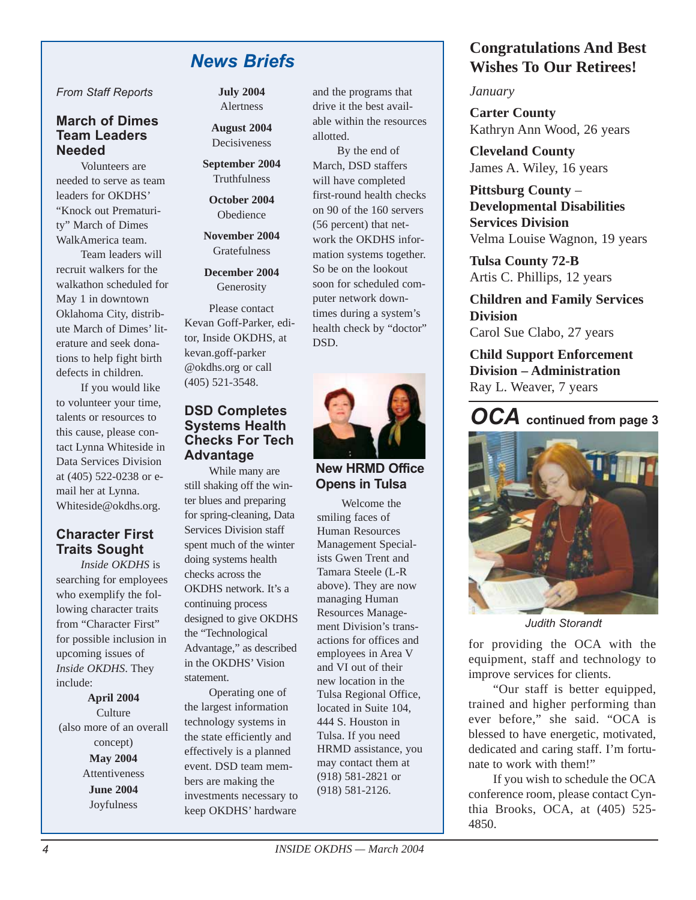### *News Briefs*

*From Staff Reports*

#### **March of Dimes Team Leaders Needed**

Volunteers are needed to serve as team leaders for OKDHS' "Knock out Prematurity" March of Dimes WalkAmerica team.

Team leaders will recruit walkers for the walkathon scheduled for May 1 in downtown Oklahoma City, distribute March of Dimes' literature and seek donations to help fight birth defects in children.

If you would like to volunteer your time, talents or resources to this cause, please contact Lynna Whiteside in Data Services Division at (405) 522-0238 or email her at Lynna. Whiteside@okdhs.org.

#### **Character First Traits Sought**

*Inside OKDHS* is searching for employees who exemplify the following character traits from "Character First" for possible inclusion in upcoming issues of *Inside OKDHS*. They include:

**April 2004 Culture** (also more of an overall concept) **May 2004**  Attentiveness **June 2004** Joyfulness

#### **July 2004** Alertness

**August 2004** Decisiveness

**September 2004**  Truthfulness

**October 2004 Obedience** 

**November 2004** Gratefulness

**December 2004** Generosity

Please contact Kevan Goff-Parker, editor, Inside OKDHS, at kevan.goff-parker @okdhs.org or call (405) 521-3548.

#### **DSD Completes Systems Health Checks For Tech Advantage**

While many are still shaking off the winter blues and preparing for spring-cleaning, Data Services Division staff spent much of the winter doing systems health checks across the OKDHS network. It's a continuing process designed to give OKDHS the "Technological Advantage," as described in the OKDHS' Vision statement.

Operating one of the largest information technology systems in the state efficiently and effectively is a planned event. DSD team members are making the investments necessary to keep OKDHS' hardware

and the programs that drive it the best available within the resources allotted.

By the end of March, DSD staffers will have completed first-round health checks on 90 of the 160 servers (56 percent) that network the OKDHS information systems together. So be on the lookout soon for scheduled computer network downtimes during a system's health check by "doctor" DSD.



#### **New HRMD Office Opens in Tulsa**

Welcome the smiling faces of Human Resources Management Specialists Gwen Trent and Tamara Steele (L-R above). They are now managing Human Resources Management Division's transactions for offices and employees in Area V and VI out of their new location in the Tulsa Regional Office, located in Suite 104, 444 S. Houston in Tulsa. If you need HRMD assistance, you may contact them at (918) 581-2821 or (918) 581-2126.

### **Congratulations And Best Wishes To Our Retirees!**

#### *January*

**Carter County** Kathryn Ann Wood, 26 years

**Cleveland County** James A. Wiley, 16 years

#### **Pittsburg County** – **Developmental Disabilities Services Division** Velma Louise Wagnon, 19 years

**Tulsa County 72-B** Artis C. Phillips, 12 years

**Children and Family Services Division** Carol Sue Clabo, 27 years

**Child Support Enforcement Division – Administration** Ray L. Weaver, 7 years



*Judith Storandt*

for providing the OCA with the equipment, staff and technology to improve services for clients.

"Our staff is better equipped, trained and higher performing than ever before," she said. "OCA is blessed to have energetic, motivated, dedicated and caring staff. I'm fortunate to work with them!"

If you wish to schedule the OCA conference room, please contact Cynthia Brooks, OCA, at (405) 525- 4850.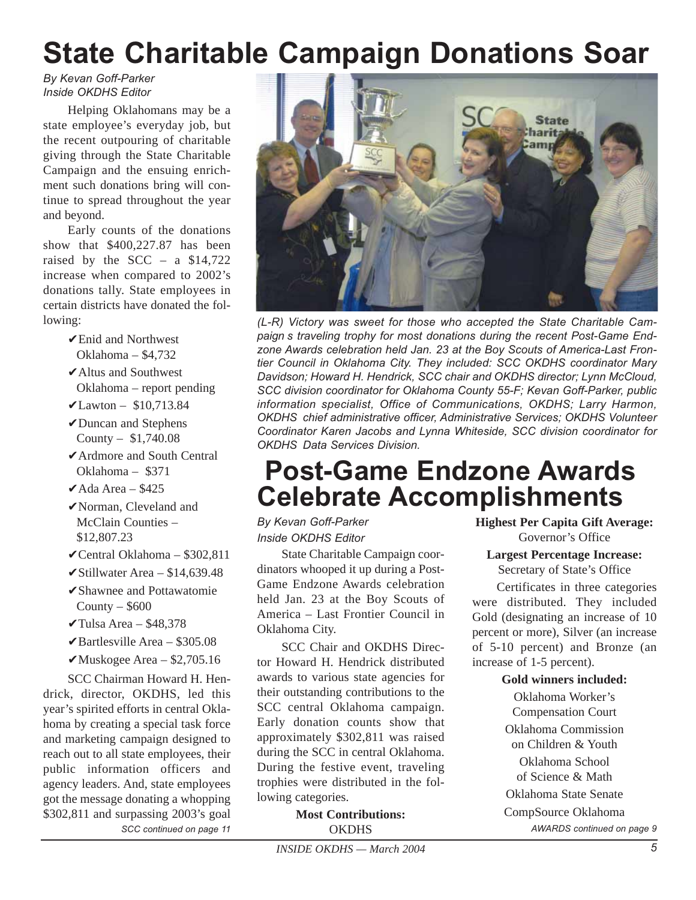# **State Charitable Campaign Donations Soar**

*By Kevan Goff-Parker Inside OKDHS Editor*

Helping Oklahomans may be a state employee's everyday job, but the recent outpouring of charitable giving through the State Charitable Campaign and the ensuing enrichment such donations bring will continue to spread throughout the year and beyond.

Early counts of the donations show that \$400,227.87 has been raised by the  $SCC - a \ $14,722$ increase when compared to 2002's donations tally. State employees in certain districts have donated the following:

- ►Enid and Northwest Oklahoma – \$4,732
- ✔Altus and Southwest Oklahoma – report pending
- $\checkmark$ Lawton \$10,713.84
- ✔Duncan and Stephens County – \$1,740.08
- ✔Ardmore and South Central Oklahoma – \$371
- $\blacktriangleright$ Ada Area \$425
- ✔Norman, Cleveland and McClain Counties – \$12,807.23
- $\checkmark$ Central Oklahoma \$302,811
- $\checkmark$ Stillwater Area \$14,639.48
- ✔Shawnee and Pottawatomie County  $-$  \$600
- $\checkmark$ Tulsa Area \$48,378
- $\blacktriangleright$ Bartlesville Area \$305.08
- $\mathbf{\nabla}$ Muskogee Area \$2,705.16

SCC Chairman Howard H. Hendrick, director, OKDHS, led this year's spirited efforts in central Oklahoma by creating a special task force and marketing campaign designed to reach out to all state employees, their public information officers and agency leaders. And, state employees got the message donating a whopping \$302,811 and surpassing 2003's goal



*(L-R) Victory was sweet for those who accepted the State Charitable Campaign s traveling trophy for most donations during the recent Post-Game Endzone Awards celebration held Jan. 23 at the Boy Scouts of America-Last Frontier Council in Oklahoma City. They included: SCC OKDHS coordinator Mary Davidson; Howard H. Hendrick, SCC chair and OKDHS director; Lynn McCloud, SCC division coordinator for Oklahoma County 55-F; Kevan Goff-Parker, public information specialist, Office of Communications, OKDHS; Larry Harmon, OKDHS chief administrative officer, Administrative Services; OKDHS Volunteer Coordinator Karen Jacobs and Lynna Whiteside, SCC division coordinator for OKDHS Data Services Division.*

## **Post-Game Endzone Awards Celebrate Accomplishments**

*By Kevan Goff-Parker Inside OKDHS Editor*

State Charitable Campaign coordinators whooped it up during a Post-Game Endzone Awards celebration held Jan. 23 at the Boy Scouts of America – Last Frontier Council in Oklahoma City.

SCC Chair and OKDHS Director Howard H. Hendrick distributed awards to various state agencies for their outstanding contributions to the SCC central Oklahoma campaign. Early donation counts show that approximately \$302,811 was raised during the SCC in central Oklahoma. During the festive event, traveling trophies were distributed in the following categories.

**Most Contributions: OKDHS** *SCC continued on page 11 AWARDS continued on page 9*

**Highest Per Capita Gift Average:** Governor's Office

#### **Largest Percentage Increase:** Secretary of State's Office

Certificates in three categories were distributed. They included Gold (designating an increase of 10 percent or more), Silver (an increase of 5-10 percent) and Bronze (an increase of 1-5 percent).

#### **Gold winners included:**

Oklahoma Worker's Compensation Court Oklahoma Commission on Children & Youth Oklahoma School of Science & Math Oklahoma State Senate CompSource Oklahoma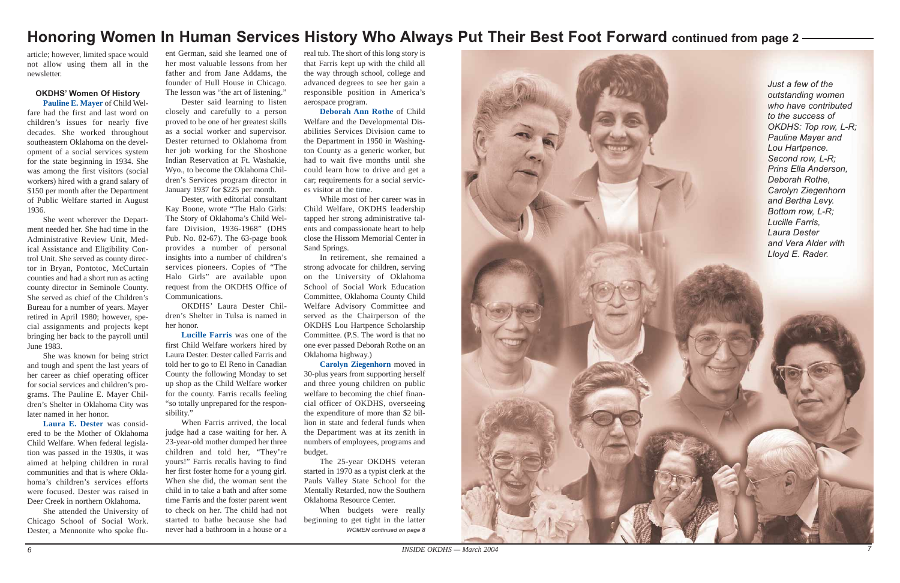article; however, limited space would not allow using them all in the newsletter.

#### **OKDHS' Women Of History Pauline E. Mayer** of Child Wel-

fare had the first and last word on children's issues for nearly five decades. She worked throughout southeastern Oklahoma on the development of a social services system for the state beginning in 1934. She was among the first visitors (social workers) hired with a grand salary of \$150 per month after the Department of Public Welfare started in August 1936.

She went wherever the Department needed her. She had time in the Administrative Review Unit, Medical Assistance and Eligibility Control Unit. She served as county director in Bryan, Pontotoc, McCurtain counties and had a short run as acting county director in Seminole County. She served as chief of the Children's Bureau for a number of years. Mayer retired in April 1980; however, special assignments and projects kept bringing her back to the payroll until June 1983.

She was known for being strict and tough and spent the last years of her career as chief operating officer for social services and children's programs. The Pauline E. Mayer Children's Shelter in Oklahoma City was later named in her honor.

**Lucille Farris** was one of the first Child Welfare workers hired by Laura Dester. Dester called Farris and told her to go to El Reno in Canadian County the following Monday to set up shop as the Child Welfare worker for the county. Farris recalls feeling "so totally unprepared for the responsibility."

**Laura E. Dester** was considered to be the Mother of Oklahoma Child Welfare. When federal legislation was passed in the 1930s, it was aimed at helping children in rural communities and that is where Oklahoma's children's services efforts were focused. Dester was raised in Deer Creek in northern Oklahoma.

She attended the University of Chicago School of Social Work. Dester, a Mennonite who spoke fluent German, said she learned one of her most valuable lessons from her father and from Jane Addams, the founder of Hull House in Chicago. The lesson was "the art of listening."

Dester said learning to listen closely and carefully to a person proved to be one of her greatest skills as a social worker and supervisor. Dester returned to Oklahoma from her job working for the Shoshone Indian Reservation at Ft. Washakie, Wyo., to become the Oklahoma Children's Services program director in January 1937 for \$225 per month.

Dester, with editorial consultant Kay Boone, wrote "The Halo Girls: The Story of Oklahoma's Child Welfare Division, 1936-1968" (DHS Pub. No. 82-67). The 63-page book provides a number of personal insights into a number of children's services pioneers. Copies of "The Halo Girls" are available upon request from the OKDHS Office of Communications.

> When budgets were really beginning to get tight in the latter *WOMEN continued on page 8*



OKDHS' Laura Dester Children's Shelter in Tulsa is named in her honor.

When Farris arrived, the local judge had a case waiting for her. A 23-year-old mother dumped her three children and told her, "They're yours!" Farris recalls having to find her first foster home for a young girl. When she did, the woman sent the child in to take a bath and after some time Farris and the foster parent went to check on her. The child had not started to bathe because she had never had a bathroom in a house or a real tub. The short of this long story is that Farris kept up with the child all the way through school, college and advanced degrees to see her gain a responsible position in America's aerospace program.

**Deborah Ann Rothe** of Child Welfare and the Developmental Disabilities Services Division came to the Department in 1950 in Washington County as a generic worker, but had to wait five months until she could learn how to drive and get a car; requirements for a social services visitor at the time.

While most of her career was in Child Welfare, OKDHS leadership tapped her strong administrative talents and compassionate heart to help close the Hissom Memorial Center in Sand Springs.

In retirement, she remained a strong advocate for children, serving on the University of Oklahoma School of Social Work Education Committee, Oklahoma County Child Welfare Advisory Committee and served as the Chairperson of the OKDHS Lou Hartpence Scholarship Committee. (P.S. The word is that no one ever passed Deborah Rothe on an Oklahoma highway.)

**Carolyn Ziegenhorn** moved in 30-plus years from supporting herself and three young children on public welfare to becoming the chief financial officer of OKDHS, overseeing the expenditure of more than \$2 billion in state and federal funds when the Department was at its zenith in numbers of employees, programs and budget.

The 25-year OKDHS veteran started in 1970 as a typist clerk at the Pauls Valley State School for the Mentally Retarded, now the Southern Oklahoma Resource Center.

## **Honoring Women In Human Services History Who Always Put Their Best Foot Forward continued from page 2**

*Just a few of the outstanding women who have contributed to the success of OKDHS: Top row, L-R; Pauline Mayer and Lou Hartpence. Second row, L-R; Prins Ella Anderson, Deborah Rothe, Carolyn Ziegenhorn and Bertha Levy. Bottom row, L-R; Lucille Farris, Laura Dester and Vera Alder with Lloyd E. Rader.*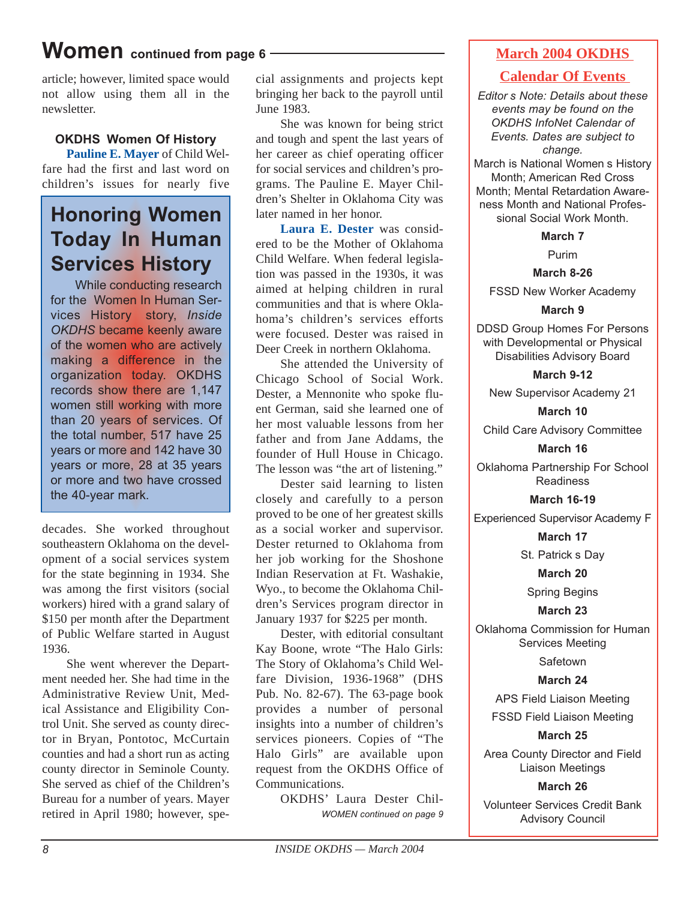## **Women continued from page 6**

article; however, limited space would not allow using them all in the newsletter.

### **OKDHS Women Of History**

**Pauline E. Mayer** of Child Welfare had the first and last word on children's issues for nearly five

### **Honoring Women Today In Human Services History**

While conducting research for the Women In Human Services History story, *Inside OKDHS* became keenly aware of the women who are actively making a difference in the organization today. OKDHS records show there are 1,147 women still working with more than 20 years of services. Of the total number, 517 have 25 years or more and 142 have 30 years or more, 28 at 35 years or more and two have crossed the 40-year mark.

decades. She worked throughout southeastern Oklahoma on the development of a social services system for the state beginning in 1934. She was among the first visitors (social workers) hired with a grand salary of \$150 per month after the Department of Public Welfare started in August 1936.

She went wherever the Department needed her. She had time in the Administrative Review Unit, Medical Assistance and Eligibility Control Unit. She served as county director in Bryan, Pontotoc, McCurtain counties and had a short run as acting county director in Seminole County. She served as chief of the Children's Bureau for a number of years. Mayer retired in April 1980; however, special assignments and projects kept bringing her back to the payroll until June 1983.

She was known for being strict and tough and spent the last years of her career as chief operating officer for social services and children's programs. The Pauline E. Mayer Children's Shelter in Oklahoma City was later named in her honor.

**Laura E. Dester** was considered to be the Mother of Oklahoma Child Welfare. When federal legislation was passed in the 1930s, it was aimed at helping children in rural communities and that is where Oklahoma's children's services efforts were focused. Dester was raised in Deer Creek in northern Oklahoma.

She attended the University of Chicago School of Social Work. Dester, a Mennonite who spoke fluent German, said she learned one of her most valuable lessons from her father and from Jane Addams, the founder of Hull House in Chicago. The lesson was "the art of listening."

Dester said learning to listen closely and carefully to a person proved to be one of her greatest skills as a social worker and supervisor. Dester returned to Oklahoma from her job working for the Shoshone Indian Reservation at Ft. Washakie, Wyo., to become the Oklahoma Children's Services program director in January 1937 for \$225 per month.

Dester, with editorial consultant Kay Boone, wrote "The Halo Girls: The Story of Oklahoma's Child Welfare Division, 1936-1968" (DHS Pub. No. 82-67). The 63-page book provides a number of personal insights into a number of children's services pioneers. Copies of "The Halo Girls" are available upon request from the OKDHS Office of Communications.

OKDHS' Laura Dester Chil-*WOMEN continued on page 9*

### **March 2004 OKDHS Calendar Of Events**

*Editor s Note: Details about these events may be found on the OKDHS InfoNet Calendar of Events. Dates are subject to change.* March is National Women s History Month; American Red Cross Month; Mental Retardation Awareness Month and National Professional Social Work Month.

**March 7**

Purim

#### **March 8-26**

FSSD New Worker Academy

#### **March 9**

DDSD Group Homes For Persons with Developmental or Physical Disabilities Advisory Board

**March 9-12**

New Supervisor Academy 21

**March 10**

Child Care Advisory Committee

**March 16**

Oklahoma Partnership For School Readiness

**March 16-19**

Experienced Supervisor Academy F

**March 17**

St. Patrick s Day

**March 20**

Spring Begins

#### **March 23**

Oklahoma Commission for Human Services Meeting

Safetown

#### **March 24**

APS Field Liaison Meeting

FSSD Field Liaison Meeting

#### **March 25**

Area County Director and Field Liaison Meetings

**March 26**

Volunteer Services Credit Bank Advisory Council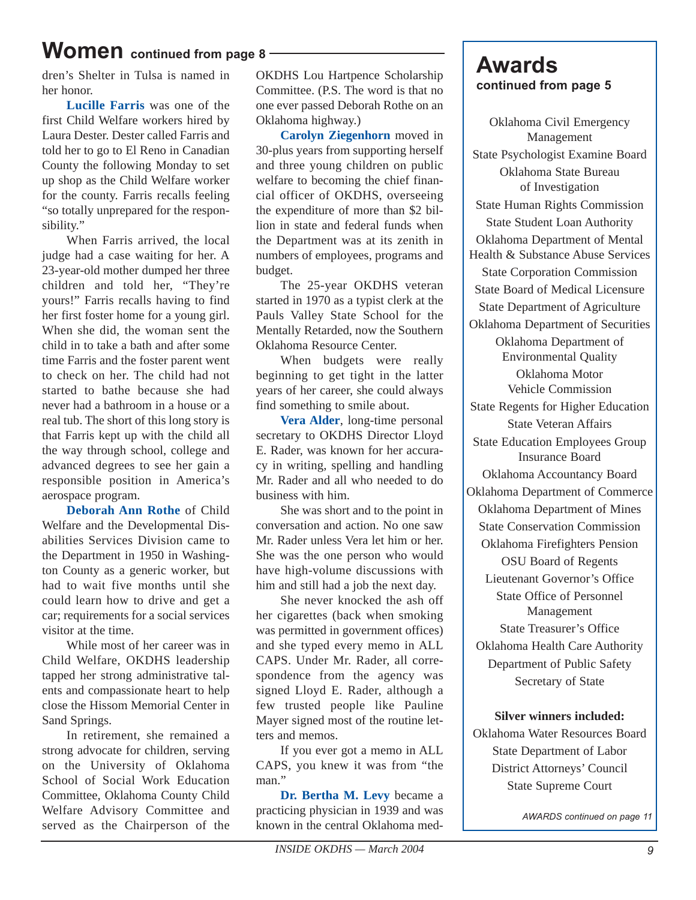### **Women continued from page 8**

dren's Shelter in Tulsa is named in her honor.

**Lucille Farris** was one of the first Child Welfare workers hired by Laura Dester. Dester called Farris and told her to go to El Reno in Canadian County the following Monday to set up shop as the Child Welfare worker for the county. Farris recalls feeling "so totally unprepared for the responsibility."

When Farris arrived, the local judge had a case waiting for her. A 23-year-old mother dumped her three children and told her, "They're yours!" Farris recalls having to find her first foster home for a young girl. When she did, the woman sent the child in to take a bath and after some time Farris and the foster parent went to check on her. The child had not started to bathe because she had never had a bathroom in a house or a real tub. The short of this long story is that Farris kept up with the child all the way through school, college and advanced degrees to see her gain a responsible position in America's aerospace program.

**Deborah Ann Rothe** of Child Welfare and the Developmental Disabilities Services Division came to the Department in 1950 in Washington County as a generic worker, but had to wait five months until she could learn how to drive and get a car; requirements for a social services visitor at the time.

While most of her career was in Child Welfare, OKDHS leadership tapped her strong administrative talents and compassionate heart to help close the Hissom Memorial Center in Sand Springs.

In retirement, she remained a strong advocate for children, serving on the University of Oklahoma School of Social Work Education Committee, Oklahoma County Child Welfare Advisory Committee and served as the Chairperson of the OKDHS Lou Hartpence Scholarship Committee. (P.S. The word is that no one ever passed Deborah Rothe on an Oklahoma highway.)

**Carolyn Ziegenhorn** moved in 30-plus years from supporting herself and three young children on public welfare to becoming the chief financial officer of OKDHS, overseeing the expenditure of more than \$2 billion in state and federal funds when the Department was at its zenith in numbers of employees, programs and budget.

The 25-year OKDHS veteran started in 1970 as a typist clerk at the Pauls Valley State School for the Mentally Retarded, now the Southern Oklahoma Resource Center.

When budgets were really beginning to get tight in the latter years of her career, she could always find something to smile about.

**Vera Alder**, long-time personal secretary to OKDHS Director Lloyd E. Rader, was known for her accuracy in writing, spelling and handling Mr. Rader and all who needed to do business with him.

She was short and to the point in conversation and action. No one saw Mr. Rader unless Vera let him or her. She was the one person who would have high-volume discussions with him and still had a job the next day.

She never knocked the ash off her cigarettes (back when smoking was permitted in government offices) and she typed every memo in ALL CAPS. Under Mr. Rader, all correspondence from the agency was signed Lloyd E. Rader, although a few trusted people like Pauline Mayer signed most of the routine letters and memos.

If you ever got a memo in ALL CAPS, you knew it was from "the man."

**Dr. Bertha M. Levy** became a practicing physician in 1939 and was known in the central Oklahoma med-

### **Awards continued from page 5**

Oklahoma Civil Emergency Management State Psychologist Examine Board Oklahoma State Bureau of Investigation State Human Rights Commission State Student Loan Authority Oklahoma Department of Mental Health & Substance Abuse Services State Corporation Commission State Board of Medical Licensure State Department of Agriculture Oklahoma Department of Securities Oklahoma Department of Environmental Quality Oklahoma Motor Vehicle Commission State Regents for Higher Education State Veteran Affairs State Education Employees Group Insurance Board Oklahoma Accountancy Board Oklahoma Department of Commerce Oklahoma Department of Mines State Conservation Commission Oklahoma Firefighters Pension OSU Board of Regents Lieutenant Governor's Office State Office of Personnel Management State Treasurer's Office Oklahoma Health Care Authority Department of Public Safety Secretary of State

#### **Silver winners included:**

Oklahoma Water Resources Board State Department of Labor District Attorneys' Council State Supreme Court

*AWARDS continued on page 11*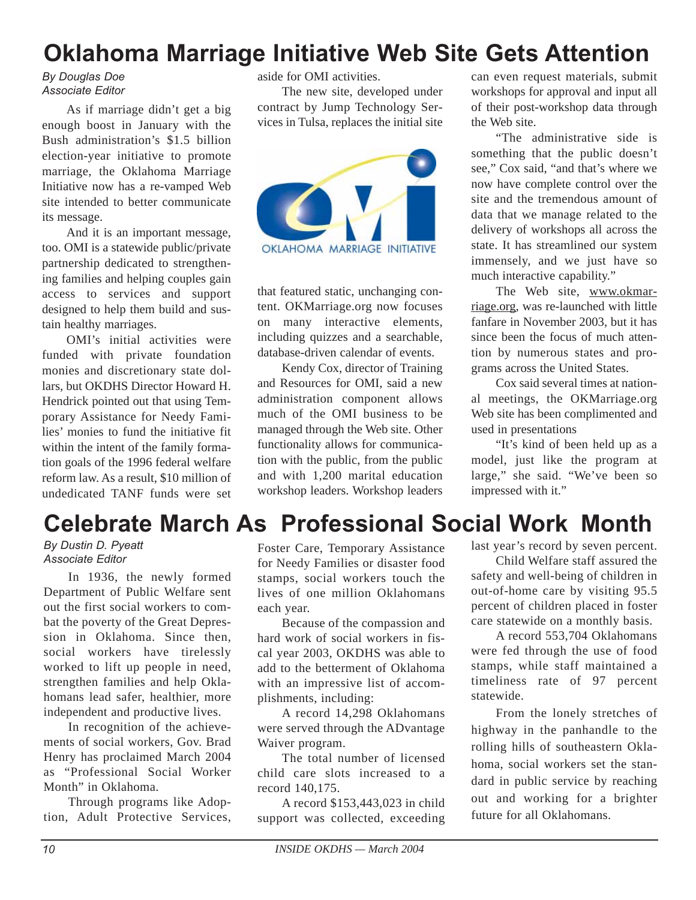## **Oklahoma Marriage Initiative Web Site Gets Attention**

#### *By Douglas Doe Associate Editor*

As if marriage didn't get a big enough boost in January with the Bush administration's \$1.5 billion election-year initiative to promote marriage, the Oklahoma Marriage Initiative now has a re-vamped Web site intended to better communicate its message.

And it is an important message, too. OMI is a statewide public/private partnership dedicated to strengthening families and helping couples gain access to services and support designed to help them build and sustain healthy marriages.

OMI's initial activities were funded with private foundation monies and discretionary state dollars, but OKDHS Director Howard H. Hendrick pointed out that using Temporary Assistance for Needy Families' monies to fund the initiative fit within the intent of the family formation goals of the 1996 federal welfare reform law. As a result, \$10 million of undedicated TANF funds were set aside for OMI activities.

The new site, developed under contract by Jump Technology Services in Tulsa, replaces the initial site



that featured static, unchanging content. OKMarriage.org now focuses on many interactive elements, including quizzes and a searchable, database-driven calendar of events.

Kendy Cox, director of Training and Resources for OMI, said a new administration component allows much of the OMI business to be managed through the Web site. Other functionality allows for communication with the public, from the public and with 1,200 marital education workshop leaders. Workshop leaders can even request materials, submit workshops for approval and input all of their post-workshop data through the Web site.

"The administrative side is something that the public doesn't see," Cox said, "and that's where we now have complete control over the site and the tremendous amount of data that we manage related to the delivery of workshops all across the state. It has streamlined our system immensely, and we just have so much interactive capability."

The Web site, www.okmarriage.org, was re-launched with little fanfare in November 2003, but it has since been the focus of much attention by numerous states and programs across the United States.

Cox said several times at national meetings, the OKMarriage.org Web site has been complimented and used in presentations

"It's kind of been held up as a model, just like the program at large," she said. "We've been so impressed with it."

## **Celebrate March As Professional Social Work Month**

*By Dustin D. Pyeatt Associate Editor*

In 1936, the newly formed Department of Public Welfare sent out the first social workers to combat the poverty of the Great Depression in Oklahoma. Since then, social workers have tirelessly worked to lift up people in need, strengthen families and help Oklahomans lead safer, healthier, more independent and productive lives.

In recognition of the achievements of social workers, Gov. Brad Henry has proclaimed March 2004 as "Professional Social Worker Month" in Oklahoma.

Through programs like Adoption, Adult Protective Services,

Foster Care, Temporary Assistance for Needy Families or disaster food stamps, social workers touch the lives of one million Oklahomans each year.

Because of the compassion and hard work of social workers in fiscal year 2003, OKDHS was able to add to the betterment of Oklahoma with an impressive list of accomplishments, including:

A record 14,298 Oklahomans were served through the ADvantage Waiver program.

The total number of licensed child care slots increased to a record 140,175.

A record \$153,443,023 in child support was collected, exceeding last year's record by seven percent.

Child Welfare staff assured the safety and well-being of children in out-of-home care by visiting 95.5 percent of children placed in foster care statewide on a monthly basis.

A record 553,704 Oklahomans were fed through the use of food stamps, while staff maintained a timeliness rate of 97 percent statewide.

From the lonely stretches of highway in the panhandle to the rolling hills of southeastern Oklahoma, social workers set the standard in public service by reaching out and working for a brighter future for all Oklahomans.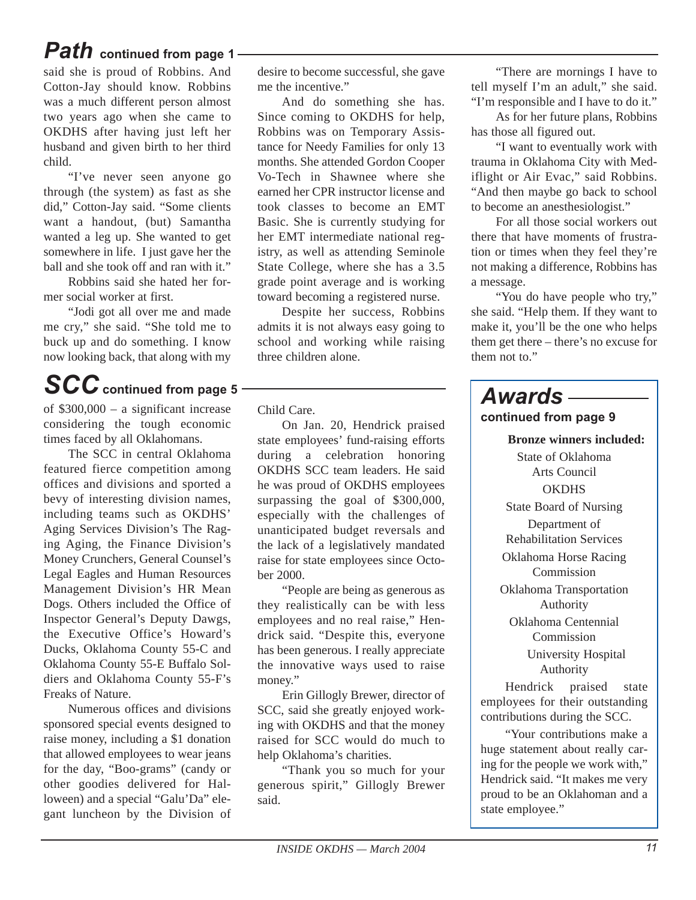### *Path* **continued from page 1**

said she is proud of Robbins. And Cotton-Jay should know. Robbins was a much different person almost two years ago when she came to OKDHS after having just left her husband and given birth to her third child.

"I've never seen anyone go through (the system) as fast as she did," Cotton-Jay said. "Some clients want a handout, (but) Samantha wanted a leg up. She wanted to get somewhere in life. I just gave her the ball and she took off and ran with it."

Robbins said she hated her former social worker at first.

"Jodi got all over me and made me cry," she said. "She told me to buck up and do something. I know now looking back, that along with my

# SCC continued from page 5

of \$300,000 – a significant increase considering the tough economic times faced by all Oklahomans.

The SCC in central Oklahoma featured fierce competition among offices and divisions and sported a bevy of interesting division names, including teams such as OKDHS' Aging Services Division's The Raging Aging, the Finance Division's Money Crunchers, General Counsel's Legal Eagles and Human Resources Management Division's HR Mean Dogs. Others included the Office of Inspector General's Deputy Dawgs, the Executive Office's Howard's Ducks, Oklahoma County 55-C and Oklahoma County 55-E Buffalo Soldiers and Oklahoma County 55-F's Freaks of Nature.

Numerous offices and divisions sponsored special events designed to raise money, including a \$1 donation that allowed employees to wear jeans for the day, "Boo-grams" (candy or other goodies delivered for Halloween) and a special "Galu'Da" elegant luncheon by the Division of desire to become successful, she gave me the incentive."

And do something she has. Since coming to OKDHS for help, Robbins was on Temporary Assistance for Needy Families for only 13 months. She attended Gordon Cooper Vo-Tech in Shawnee where she earned her CPR instructor license and took classes to become an EMT Basic. She is currently studying for her EMT intermediate national registry, as well as attending Seminole State College, where she has a 3.5 grade point average and is working toward becoming a registered nurse.

Despite her success, Robbins admits it is not always easy going to school and working while raising three children alone.

Child Care.

On Jan. 20, Hendrick praised state employees' fund-raising efforts during a celebration honoring OKDHS SCC team leaders. He said he was proud of OKDHS employees surpassing the goal of \$300,000, especially with the challenges of unanticipated budget reversals and the lack of a legislatively mandated raise for state employees since October 2000.

"People are being as generous as they realistically can be with less employees and no real raise," Hendrick said. "Despite this, everyone has been generous. I really appreciate the innovative ways used to raise money."

Erin Gillogly Brewer, director of SCC, said she greatly enjoyed working with OKDHS and that the money raised for SCC would do much to help Oklahoma's charities.

"Thank you so much for your generous spirit," Gillogly Brewer said.

"There are mornings I have to tell myself I'm an adult," she said. "I'm responsible and I have to do it."

As for her future plans, Robbins has those all figured out.

"I want to eventually work with trauma in Oklahoma City with Mediflight or Air Evac," said Robbins. "And then maybe go back to school to become an anesthesiologist."

For all those social workers out there that have moments of frustration or times when they feel they're not making a difference, Robbins has a message.

"You do have people who try," she said. "Help them. If they want to make it, you'll be the one who helps them get there – there's no excuse for them not to."

# **continued from page 9**

**Bronze winners included:** State of Oklahoma Arts Council **OKDHS** State Board of Nursing Department of Rehabilitation Services Oklahoma Horse Racing Commission Oklahoma Transportation Authority Oklahoma Centennial Commission University Hospital Authority

Hendrick praised state employees for their outstanding contributions during the SCC.

"Your contributions make a huge statement about really caring for the people we work with," Hendrick said. "It makes me very proud to be an Oklahoman and a state employee."